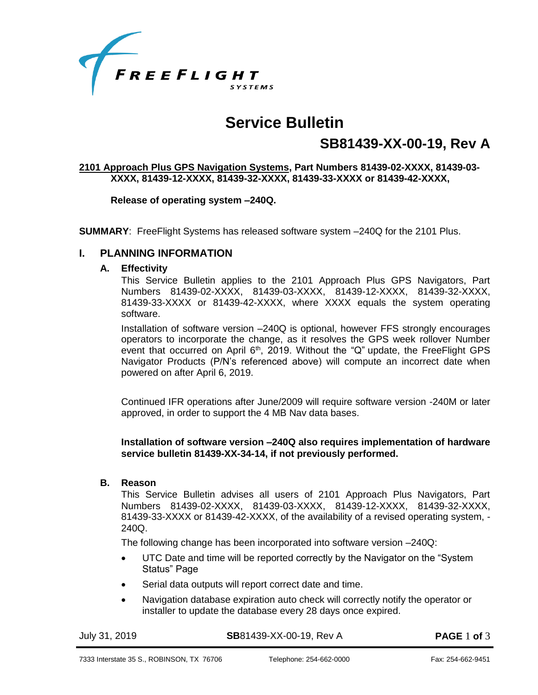

# **Service Bulletin**

# **SB81439-XX-00-19, Rev A**

#### **2101 Approach Plus GPS Navigation Systems, Part Numbers 81439-02-XXXX, 81439-03- XXXX, 81439-12-XXXX, 81439-32-XXXX, 81439-33-XXXX or 81439-42-XXXX,**

**Release of operating system –240Q.**

**SUMMARY**: FreeFlight Systems has released software system –240Q for the 2101 Plus.

### **I. PLANNING INFORMATION**

## **A. Effectivity**

This Service Bulletin applies to the 2101 Approach Plus GPS Navigators, Part Numbers 81439-02-XXXX, 81439-03-XXXX, 81439-12-XXXX, 81439-32-XXXX, 81439-33-XXXX or 81439-42-XXXX, where XXXX equals the system operating software.

Installation of software version –240Q is optional, however FFS strongly encourages operators to incorporate the change, as it resolves the GPS week rollover Number event that occurred on April  $6<sup>th</sup>$ , 2019. Without the "Q" update, the FreeFlight GPS Navigator Products (P/N's referenced above) will compute an incorrect date when powered on after April 6, 2019.

Continued IFR operations after June/2009 will require software version -240M or later approved, in order to support the 4 MB Nav data bases.

#### **Installation of software version –240Q also requires implementation of hardware service bulletin 81439-XX-34-14, if not previously performed.**

#### **B. Reason**

This Service Bulletin advises all users of 2101 Approach Plus Navigators, Part Numbers 81439-02-XXXX, 81439-03-XXXX, 81439-12-XXXX, 81439-32-XXXX, 81439-33-XXXX or 81439-42-XXXX, of the availability of a revised operating system, - 240Q.

The following change has been incorporated into software version –240Q:

- UTC Date and time will be reported correctly by the Navigator on the "System Status" Page
- Serial data outputs will report correct date and time.
- Navigation database expiration auto check will correctly notify the operator or installer to update the database every 28 days once expired.

July 31, 2019 **SB**81439-XX-00-19, Rev A **PAGE** 1 **of** 3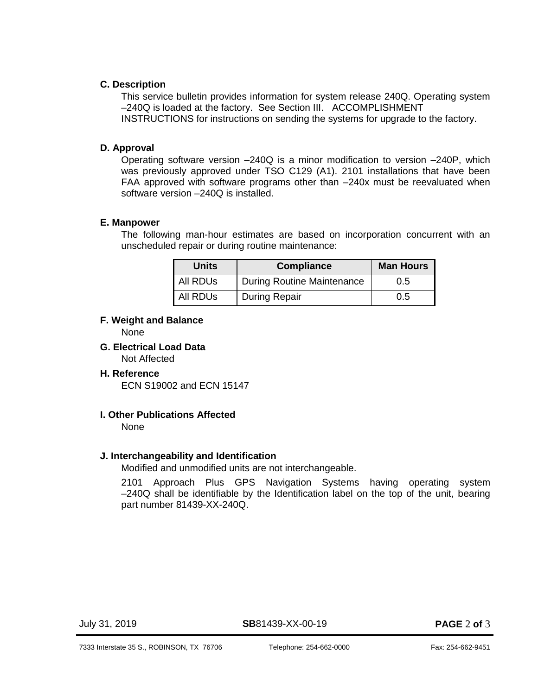# **C. Description**

This service bulletin provides information for system release 240Q. Operating system –240Q is loaded at the factory. See Section III. [ACCOMPLISHMENT](#page-2-0)  [INSTRUCTIONS](#page-2-0) for instructions on sending the systems for upgrade to the factory.

# **D. Approval**

Operating software version –240Q is a minor modification to version –240P, which was previously approved under TSO C129 (A1). 2101 installations that have been FAA approved with software programs other than –240x must be reevaluated when software version –240Q is installed.

# **E. Manpower**

The following man-hour estimates are based on incorporation concurrent with an unscheduled repair or during routine maintenance:

| <b>Units</b>         | <b>Compliance</b>                 | <b>Man Hours</b> |
|----------------------|-----------------------------------|------------------|
| All RDUs             | <b>During Routine Maintenance</b> | 0.5              |
| All RDU <sub>S</sub> | During Repair                     | 0.5              |

# **F. Weight and Balance**

None

**G. Electrical Load Data** Not Affected

# **H. Reference**

ECN S19002 and ECN 15147

# **I. Other Publications Affected**

None

# **J. Interchangeability and Identification**

Modified and unmodified units are not interchangeable.

2101 Approach Plus GPS Navigation Systems having operating system –240Q shall be identifiable by the Identification label on the top of the unit, bearing part number 81439-XX-240Q.